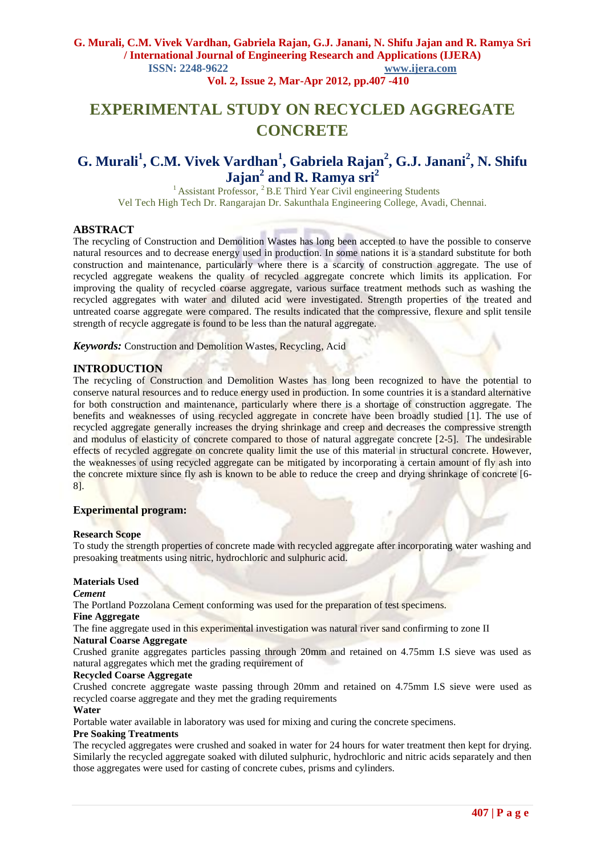### **G. Murali, C.M. Vivek Vardhan, Gabriela Rajan, G.J. Janani, N. Shifu Jajan and R. Ramya Sri / International Journal of Engineering Research and Applications (IJERA) ISSN: 2248-9622 www.ijera.com**

 **Vol. 2, Issue 2, Mar-Apr 2012, pp.407 -410**

# **EXPERIMENTAL STUDY ON RECYCLED AGGREGATE CONCRETE**

## **G. Murali<sup>1</sup> , C.M. Vivek Vardhan<sup>1</sup> , Gabriela Rajan<sup>2</sup> , G.J. Janani<sup>2</sup> , N. Shifu Jajan<sup>2</sup> and R. Ramya sri<sup>2</sup>**

<sup>1</sup> Assistant Professor, <sup>2</sup> B.E Third Year Civil engineering Students Vel Tech High Tech Dr. Rangarajan Dr. Sakunthala Engineering College, Avadi, Chennai.

#### **ABSTRACT**

The recycling of Construction and Demolition Wastes has long been accepted to have the possible to conserve natural resources and to decrease energy used in production. In some nations it is a standard substitute for both construction and maintenance, particularly where there is a scarcity of construction aggregate. The use of recycled aggregate weakens the quality of recycled aggregate concrete which limits its application. For improving the quality of recycled coarse aggregate, various surface treatment methods such as washing the recycled aggregates with water and diluted acid were investigated. Strength properties of the treated and untreated coarse aggregate were compared. The results indicated that the compressive, flexure and split tensile strength of recycle aggregate is found to be less than the natural aggregate.

*Keywords:* Construction and Demolition Wastes, Recycling, Acid

#### **INTRODUCTION**

The recycling of Construction and Demolition Wastes has long been recognized to have the potential to conserve natural resources and to reduce energy used in production. In some countries it is a standard alternative for both construction and maintenance, particularly where there is a shortage of construction aggregate. The benefits and weaknesses of using recycled aggregate in concrete have been broadly studied [1]. The use of recycled aggregate generally increases the drying shrinkage and creep and decreases the compressive strength and modulus of elasticity of concrete compared to those of natural aggregate concrete [2-5]. The undesirable effects of recycled aggregate on concrete quality limit the use of this material in structural concrete. However, the weaknesses of using recycled aggregate can be mitigated by incorporating a certain amount of fly ash into the concrete mixture since fly ash is known to be able to reduce the creep and drying shrinkage of concrete [6- 8].

#### **Experimental program:**

#### **Research Scope**

To study the strength properties of concrete made with recycled aggregate after incorporating water washing and presoaking treatments using nitric, hydrochloric and sulphuric acid.

#### **Materials Used**

*Cement*

The Portland Pozzolana Cement conforming was used for the preparation of test specimens.

#### **Fine Aggregate**

The fine aggregate used in this experimental investigation was natural river sand confirming to zone II **Natural Coarse Aggregate**

Crushed granite aggregates particles passing through 20mm and retained on 4.75mm I.S sieve was used as natural aggregates which met the grading requirement of

#### **Recycled Coarse Aggregate**

Crushed concrete aggregate waste passing through 20mm and retained on 4.75mm I.S sieve were used as recycled coarse aggregate and they met the grading requirements

#### **Water**

Portable water available in laboratory was used for mixing and curing the concrete specimens.

#### **Pre Soaking Treatments**

The recycled aggregates were crushed and soaked in water for 24 hours for water treatment then kept for drying. Similarly the recycled aggregate soaked with diluted sulphuric, hydrochloric and nitric acids separately and then those aggregates were used for casting of concrete cubes, prisms and cylinders.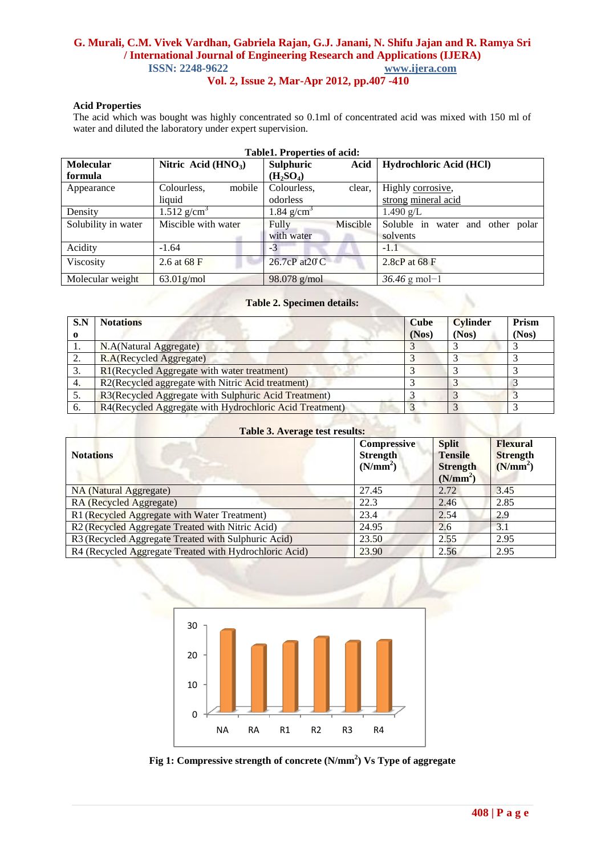## **G. Murali, C.M. Vivek Vardhan, Gabriela Rajan, G.J. Janani, N. Shifu Jajan and R. Ramya Sri / International Journal of Engineering Research and Applications (IJERA) ISSN: 2248-9622 www.ijera.com**

 **Vol. 2, Issue 2, Mar-Apr 2012, pp.407 -410**

#### **Acid Properties**

The acid which was bought was highly concentrated so 0.1ml of concentrated acid was mixed with 150 ml of water and diluted the laboratory under expert supervision.

| <b>Table1. Properties of acid:</b> |                           |                                   |          |                                  |  |  |  |  |  |
|------------------------------------|---------------------------|-----------------------------------|----------|----------------------------------|--|--|--|--|--|
| Molecular                          | Nitric Acid $(HNO3)$      | Sulphuric                         | Acid     | Hydrochloric Acid (HCl)          |  |  |  |  |  |
| formula                            |                           | (H <sub>2</sub> SO <sub>4</sub> ) |          |                                  |  |  |  |  |  |
| Appearance                         | mobile<br>Colourless,     | Colourless,                       | clear.   | Highly corrosive,                |  |  |  |  |  |
|                                    | liquid                    | odorless                          |          | strong mineral acid              |  |  |  |  |  |
| Density                            | $1.512$ g/cm <sup>3</sup> | $1.84$ g/cm <sup>3</sup>          |          | $1.490$ g/L                      |  |  |  |  |  |
| Solubility in water                | Miscible with water       | Fully                             | Miscible | Soluble in water and other polar |  |  |  |  |  |
|                                    |                           | with water                        |          | solvents                         |  |  |  |  |  |
| Acidity                            | $-1.64$                   | $-3$                              |          | $-1.1$                           |  |  |  |  |  |
| Viscosity                          | 2.6 at 68 F               | 26.7cP at 20°C                    |          | 2.8 $cP$ at 68 F                 |  |  |  |  |  |
| Molecular weight                   | $63.01$ g/mol             | 98.078 g/mol                      |          | $36.46$ g mol-1                  |  |  |  |  |  |

#### **Table 2. Specimen details:**

| S.N         | <b>Notations</b>                                        | <b>Cube</b> | <b>Cylinder</b> | Prism |
|-------------|---------------------------------------------------------|-------------|-----------------|-------|
| $\mathbf o$ |                                                         | (Nos)       | (Nos)           | (Nos) |
|             | N.A(Natural Aggregate)                                  |             |                 |       |
| ۷.          | R.A(Recycled Aggregate)                                 |             |                 |       |
| 3.          | R1(Recycled Aggregate with water treatment)             |             |                 |       |
| 4.          | R2(Recycled aggregate with Nitric Acid treatment)       |             |                 |       |
|             | R3(Recycled Aggregate with Sulphuric Acid Treatment)    |             |                 |       |
| 6.          | R4(Recycled Aggregate with Hydrochloric Acid Treatment) |             |                 |       |
|             |                                                         |             |                 |       |

| <b>Table 3. Average test results:</b>                  |                                                               |                                                                           |                                                            |  |  |  |  |  |
|--------------------------------------------------------|---------------------------------------------------------------|---------------------------------------------------------------------------|------------------------------------------------------------|--|--|--|--|--|
| <b>Notations</b>                                       | <b>Compressive</b><br><b>Strength</b><br>(N/mm <sup>2</sup> ) | <b>Split</b><br><b>Tensile</b><br><b>Strength</b><br>(N/mm <sup>2</sup> ) | <b>Flexural</b><br><b>Strength</b><br>(N/mm <sup>2</sup> ) |  |  |  |  |  |
| <b>NA</b> (Natural Aggregate)                          | 27.45                                                         | 2.72                                                                      | 3.45                                                       |  |  |  |  |  |
| RA (Recycled Aggregate)                                | 22.3                                                          | 2.46                                                                      | 2.85                                                       |  |  |  |  |  |
| R1 (Recycled Aggregate with Water Treatment)           | 23.4                                                          | 2.54                                                                      | 2.9                                                        |  |  |  |  |  |
| R2 (Recycled Aggregate Treated with Nitric Acid)       | 24.95                                                         | 2.6                                                                       | 3.1                                                        |  |  |  |  |  |
| R3 (Recycled Aggregate Treated with Sulphuric Acid)    | 23.50                                                         | 2.55                                                                      | 2.95                                                       |  |  |  |  |  |
| R4 (Recycled Aggregate Treated with Hydrochloric Acid) | 23.90                                                         | 2.56                                                                      | 2.95                                                       |  |  |  |  |  |



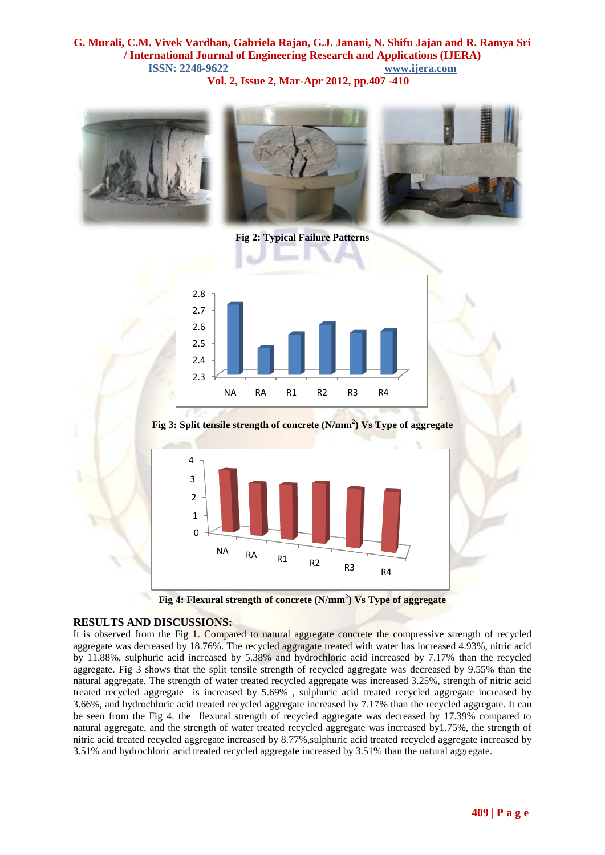#### **G. Murali, C.M. Vivek Vardhan, Gabriela Rajan, G.J. Janani, N. Shifu Jajan and R. Ramya Sri / International Journal of Engineering Research and Applications (IJERA) ISSN: 2248-9622 www.ijera.com Vol. 2, Issue 2, Mar-Apr 2012, pp.407 -410**



**Fig 2: Typical Failure Patterns**



**Fig 3: Split tensile strength of concrete (N/mm<sup>2</sup> ) Vs Type of aggregate**



**Fig 4: Flexural strength of concrete (N/mm<sup>2</sup> ) Vs Type of aggregate**

#### **RESULTS AND DISCUSSIONS:**

It is observed from the Fig 1. Compared to natural aggregate concrete the compressive strength of recycled aggregate was decreased by 18.76%. The recycled aggragate treated with water has increased 4.93%, nitric acid by 11.88%, sulphuric acid increased by 5.38% and hydrochloric acid increased by 7.17% than the recycled aggregate. Fig 3 shows that the split tensile strength of recycled aggregate was decreased by 9.55% than the natural aggregate. The strength of water treated recycled aggregate was increased 3.25%, strength of nitric acid treated recycled aggregate is increased by 5.69% , sulphuric acid treated recycled aggregate increased by 3.66%, and hydrochloric acid treated recycled aggregate increased by 7.17% than the recycled aggregate. It can be seen from the Fig 4. the flexural strength of recycled aggregate was decreased by 17.39% compared to natural aggregate, and the strength of water treated recycled aggregate was increased by1.75%, the strength of nitric acid treated recycled aggregate increased by 8.77%,sulphuric acid treated recycled aggregate increased by 3.51% and hydrochloric acid treated recycled aggregate increased by 3.51% than the natural aggregate.